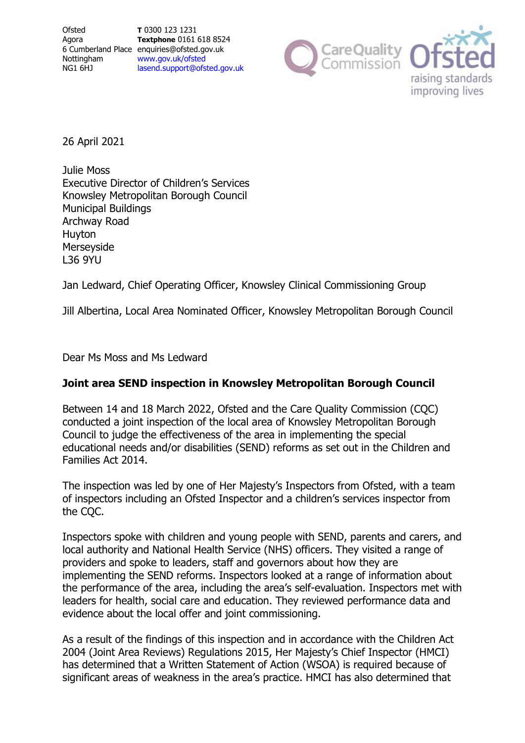**Textphone** 0161 618 8524 [lasend.support@ofsted.gov.uk](mailto:lasend.support@ofsted.gov.ukvvvvv.uk)



26 April 2021

Julie Moss Executive Director of Children's Services Knowsley Metropolitan Borough Council Municipal Buildings Archway Road Huyton **Merseyside** L36 9YU

Jan Ledward, Chief Operating Officer, Knowsley Clinical Commissioning Group

Jill Albertina, Local Area Nominated Officer, Knowsley Metropolitan Borough Council

Dear Ms Moss and Ms Ledward

# **Joint area SEND inspection in Knowsley Metropolitan Borough Council**

Between 14 and 18 March 2022, Ofsted and the Care Quality Commission (CQC) conducted a joint inspection of the local area of Knowsley Metropolitan Borough Council to judge the effectiveness of the area in implementing the special educational needs and/or disabilities (SEND) reforms as set out in the Children and Families Act 2014.

The inspection was led by one of Her Majesty's Inspectors from Ofsted, with a team of inspectors including an Ofsted Inspector and a children's services inspector from the CQC.

Inspectors spoke with children and young people with SEND, parents and carers, and local authority and National Health Service (NHS) officers. They visited a range of providers and spoke to leaders, staff and governors about how they are implementing the SEND reforms. Inspectors looked at a range of information about the performance of the area, including the area's self-evaluation. Inspectors met with leaders for health, social care and education. They reviewed performance data and evidence about the local offer and joint commissioning.

As a result of the findings of this inspection and in accordance with the Children Act 2004 (Joint Area Reviews) Regulations 2015, Her Majesty's Chief Inspector (HMCI) has determined that a Written Statement of Action (WSOA) is required because of significant areas of weakness in the area's practice. HMCI has also determined that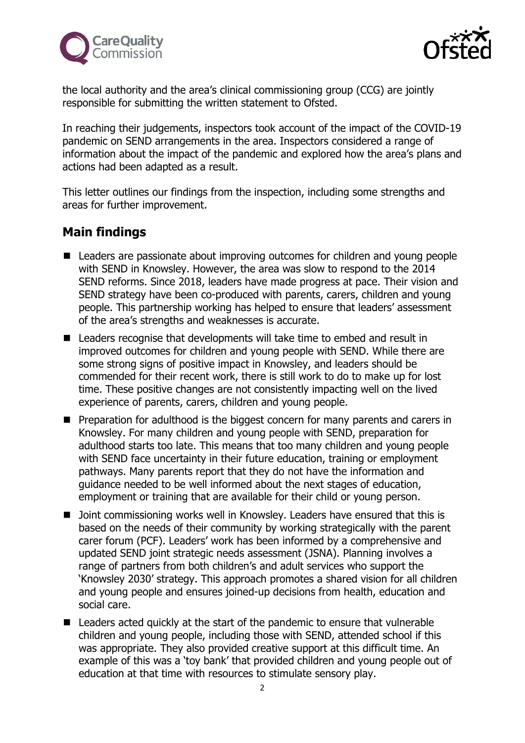



the local authority and the area's clinical commissioning group (CCG) are jointly responsible for submitting the written statement to Ofsted.

In reaching their judgements, inspectors took account of the impact of the COVID-19 pandemic on SEND arrangements in the area. Inspectors considered a range of information about the impact of the pandemic and explored how the area's plans and actions had been adapted as a result.

This letter outlines our findings from the inspection, including some strengths and areas for further improvement.

# **Main findings**

- Leaders are passionate about improving outcomes for children and young people with SEND in Knowsley. However, the area was slow to respond to the 2014 SEND reforms. Since 2018, leaders have made progress at pace. Their vision and SEND strategy have been co-produced with parents, carers, children and young people. This partnership working has helped to ensure that leaders' assessment of the area's strengths and weaknesses is accurate.
- Leaders recognise that developments will take time to embed and result in improved outcomes for children and young people with SEND. While there are some strong signs of positive impact in Knowsley, and leaders should be commended for their recent work, there is still work to do to make up for lost time. These positive changes are not consistently impacting well on the lived experience of parents, carers, children and young people.
- Preparation for adulthood is the biggest concern for many parents and carers in Knowsley. For many children and young people with SEND, preparation for adulthood starts too late. This means that too many children and young people with SEND face uncertainty in their future education, training or employment pathways. Many parents report that they do not have the information and guidance needed to be well informed about the next stages of education, employment or training that are available for their child or young person.
- Joint commissioning works well in Knowsley. Leaders have ensured that this is based on the needs of their community by working strategically with the parent carer forum (PCF). Leaders' work has been informed by a comprehensive and updated SEND joint strategic needs assessment (JSNA). Planning involves a range of partners from both children's and adult services who support the 'Knowsley 2030' strategy. This approach promotes a shared vision for all children and young people and ensures joined-up decisions from health, education and social care.
- Leaders acted quickly at the start of the pandemic to ensure that vulnerable children and young people, including those with SEND, attended school if this was appropriate. They also provided creative support at this difficult time. An example of this was a 'toy bank' that provided children and young people out of education at that time with resources to stimulate sensory play.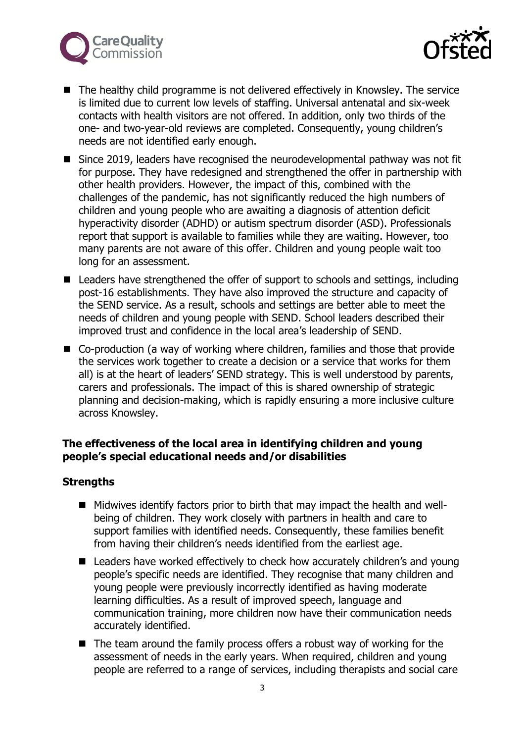



- The healthy child programme is not delivered effectively in Knowsley. The service is limited due to current low levels of staffing. Universal antenatal and six-week contacts with health visitors are not offered. In addition, only two thirds of the one- and two-year-old reviews are completed. Consequently, young children's needs are not identified early enough.
- Since 2019, leaders have recognised the neurodevelopmental pathway was not fit for purpose. They have redesigned and strengthened the offer in partnership with other health providers. However, the impact of this, combined with the challenges of the pandemic, has not significantly reduced the high numbers of children and young people who are awaiting a diagnosis of attention deficit hyperactivity disorder (ADHD) or autism spectrum disorder (ASD). Professionals report that support is available to families while they are waiting. However, too many parents are not aware of this offer. Children and young people wait too long for an assessment.
- Leaders have strengthened the offer of support to schools and settings, including post-16 establishments. They have also improved the structure and capacity of the SEND service. As a result, schools and settings are better able to meet the needs of children and young people with SEND. School leaders described their improved trust and confidence in the local area's leadership of SEND.
- Co-production (a way of working where children, families and those that provide the services work together to create a decision or a service that works for them all) is at the heart of leaders' SEND strategy. This is well understood by parents, carers and professionals. The impact of this is shared ownership of strategic planning and decision-making, which is rapidly ensuring a more inclusive culture across Knowsley.

# **The effectiveness of the local area in identifying children and young people's special educational needs and/or disabilities**

# **Strengths**

- Midwives identify factors prior to birth that may impact the health and wellbeing of children. They work closely with partners in health and care to support families with identified needs. Consequently, these families benefit from having their children's needs identified from the earliest age.
- Leaders have worked effectively to check how accurately children's and young people's specific needs are identified. They recognise that many children and young people were previously incorrectly identified as having moderate learning difficulties. As a result of improved speech, language and communication training, more children now have their communication needs accurately identified.
- The team around the family process offers a robust way of working for the assessment of needs in the early years. When required, children and young people are referred to a range of services, including therapists and social care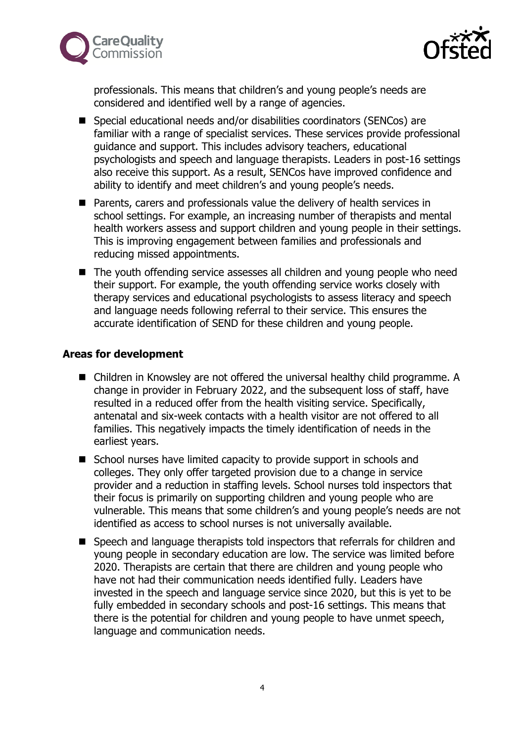



professionals. This means that children's and young people's needs are considered and identified well by a range of agencies.

- Special educational needs and/or disabilities coordinators (SENCos) are familiar with a range of specialist services. These services provide professional guidance and support. This includes advisory teachers, educational psychologists and speech and language therapists. Leaders in post-16 settings also receive this support. As a result, SENCos have improved confidence and ability to identify and meet children's and young people's needs.
- Parents, carers and professionals value the delivery of health services in school settings. For example, an increasing number of therapists and mental health workers assess and support children and young people in their settings. This is improving engagement between families and professionals and reducing missed appointments.
- The youth offending service assesses all children and young people who need their support. For example, the youth offending service works closely with therapy services and educational psychologists to assess literacy and speech and language needs following referral to their service. This ensures the accurate identification of SEND for these children and young people.

#### **Areas for development**

- Children in Knowsley are not offered the universal healthy child programme. A change in provider in February 2022, and the subsequent loss of staff, have resulted in a reduced offer from the health visiting service. Specifically, antenatal and six-week contacts with a health visitor are not offered to all families. This negatively impacts the timely identification of needs in the earliest years.
- School nurses have limited capacity to provide support in schools and colleges. They only offer targeted provision due to a change in service provider and a reduction in staffing levels. School nurses told inspectors that their focus is primarily on supporting children and young people who are vulnerable. This means that some children's and young people's needs are not identified as access to school nurses is not universally available.
- Speech and language therapists told inspectors that referrals for children and young people in secondary education are low. The service was limited before 2020. Therapists are certain that there are children and young people who have not had their communication needs identified fully. Leaders have invested in the speech and language service since 2020, but this is yet to be fully embedded in secondary schools and post-16 settings. This means that there is the potential for children and young people to have unmet speech, language and communication needs.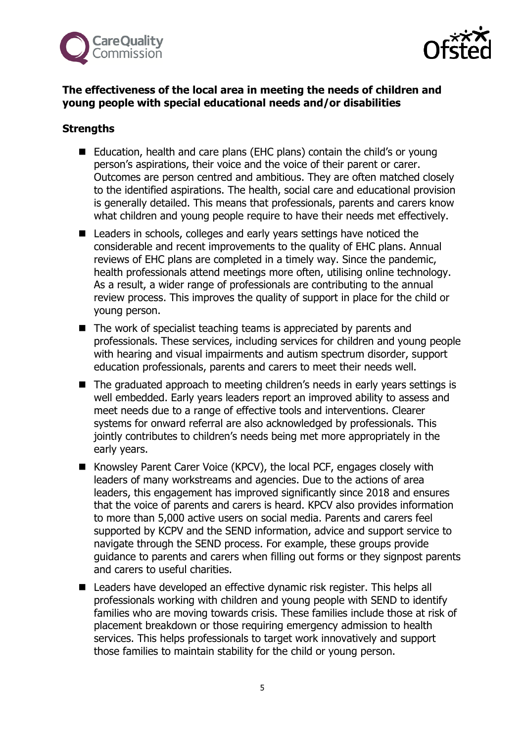



# **The effectiveness of the local area in meeting the needs of children and young people with special educational needs and/or disabilities**

## **Strengths**

- Education, health and care plans (EHC plans) contain the child's or young person's aspirations, their voice and the voice of their parent or carer. Outcomes are person centred and ambitious. They are often matched closely to the identified aspirations. The health, social care and educational provision is generally detailed. This means that professionals, parents and carers know what children and young people require to have their needs met effectively.
- Leaders in schools, colleges and early years settings have noticed the considerable and recent improvements to the quality of EHC plans. Annual reviews of EHC plans are completed in a timely way. Since the pandemic, health professionals attend meetings more often, utilising online technology. As a result, a wider range of professionals are contributing to the annual review process. This improves the quality of support in place for the child or young person.
- The work of specialist teaching teams is appreciated by parents and professionals. These services, including services for children and young people with hearing and visual impairments and autism spectrum disorder, support education professionals, parents and carers to meet their needs well.
- The graduated approach to meeting children's needs in early years settings is well embedded. Early years leaders report an improved ability to assess and meet needs due to a range of effective tools and interventions. Clearer systems for onward referral are also acknowledged by professionals. This jointly contributes to children's needs being met more appropriately in the early years.
- Knowsley Parent Carer Voice (KPCV), the local PCF, engages closely with leaders of many workstreams and agencies. Due to the actions of area leaders, this engagement has improved significantly since 2018 and ensures that the voice of parents and carers is heard. KPCV also provides information to more than 5,000 active users on social media. Parents and carers feel supported by KCPV and the SEND information, advice and support service to navigate through the SEND process. For example, these groups provide guidance to parents and carers when filling out forms or they signpost parents and carers to useful charities.
- Leaders have developed an effective dynamic risk register. This helps all professionals working with children and young people with SEND to identify families who are moving towards crisis. These families include those at risk of placement breakdown or those requiring emergency admission to health services. This helps professionals to target work innovatively and support those families to maintain stability for the child or young person.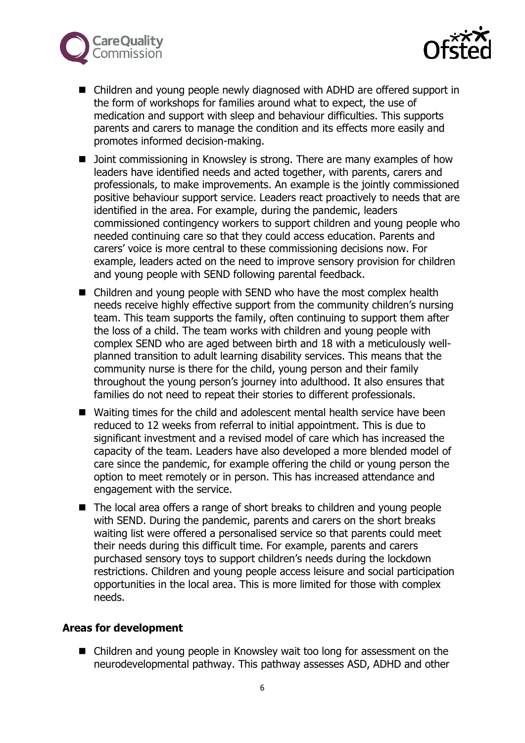



- Children and young people newly diagnosed with ADHD are offered support in the form of workshops for families around what to expect, the use of medication and support with sleep and behaviour difficulties. This supports parents and carers to manage the condition and its effects more easily and promotes informed decision-making.
- Joint commissioning in Knowsley is strong. There are many examples of how leaders have identified needs and acted together, with parents, carers and professionals, to make improvements. An example is the jointly commissioned positive behaviour support service. Leaders react proactively to needs that are identified in the area. For example, during the pandemic, leaders commissioned contingency workers to support children and young people who needed continuing care so that they could access education. Parents and carers' voice is more central to these commissioning decisions now. For example, leaders acted on the need to improve sensory provision for children and young people with SEND following parental feedback.
- Children and young people with SEND who have the most complex health needs receive highly effective support from the community children's nursing team. This team supports the family, often continuing to support them after the loss of a child. The team works with children and young people with complex SEND who are aged between birth and 18 with a meticulously wellplanned transition to adult learning disability services. This means that the community nurse is there for the child, young person and their family throughout the young person's journey into adulthood. It also ensures that families do not need to repeat their stories to different professionals.
- Waiting times for the child and adolescent mental health service have been reduced to 12 weeks from referral to initial appointment. This is due to significant investment and a revised model of care which has increased the capacity of the team. Leaders have also developed a more blended model of care since the pandemic, for example offering the child or young person the option to meet remotely or in person. This has increased attendance and engagement with the service.
- The local area offers a range of short breaks to children and young people with SEND. During the pandemic, parents and carers on the short breaks waiting list were offered a personalised service so that parents could meet their needs during this difficult time. For example, parents and carers purchased sensory toys to support children's needs during the lockdown restrictions. Children and young people access leisure and social participation opportunities in the local area. This is more limited for those with complex needs.

#### **Areas for development**

■ Children and young people in Knowsley wait too long for assessment on the neurodevelopmental pathway. This pathway assesses ASD, ADHD and other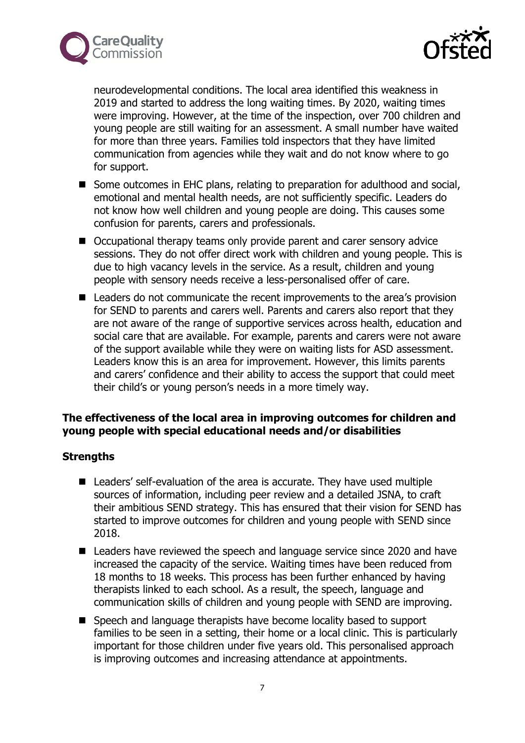



neurodevelopmental conditions. The local area identified this weakness in 2019 and started to address the long waiting times. By 2020, waiting times were improving. However, at the time of the inspection, over 700 children and young people are still waiting for an assessment. A small number have waited for more than three years. Families told inspectors that they have limited communication from agencies while they wait and do not know where to go for support.

- Some outcomes in EHC plans, relating to preparation for adulthood and social, emotional and mental health needs, are not sufficiently specific. Leaders do not know how well children and young people are doing. This causes some confusion for parents, carers and professionals.
- Occupational therapy teams only provide parent and carer sensory advice sessions. They do not offer direct work with children and young people. This is due to high vacancy levels in the service. As a result, children and young people with sensory needs receive a less-personalised offer of care.
- Leaders do not communicate the recent improvements to the area's provision for SEND to parents and carers well. Parents and carers also report that they are not aware of the range of supportive services across health, education and social care that are available. For example, parents and carers were not aware of the support available while they were on waiting lists for ASD assessment. Leaders know this is an area for improvement. However, this limits parents and carers' confidence and their ability to access the support that could meet their child's or young person's needs in a more timely way.

## **The effectiveness of the local area in improving outcomes for children and young people with special educational needs and/or disabilities**

# **Strengths**

- Leaders' self-evaluation of the area is accurate. They have used multiple sources of information, including peer review and a detailed JSNA, to craft their ambitious SEND strategy. This has ensured that their vision for SEND has started to improve outcomes for children and young people with SEND since 2018.
- Leaders have reviewed the speech and language service since 2020 and have increased the capacity of the service. Waiting times have been reduced from 18 months to 18 weeks. This process has been further enhanced by having therapists linked to each school. As a result, the speech, language and communication skills of children and young people with SEND are improving.
- Speech and language therapists have become locality based to support families to be seen in a setting, their home or a local clinic. This is particularly important for those children under five years old. This personalised approach is improving outcomes and increasing attendance at appointments.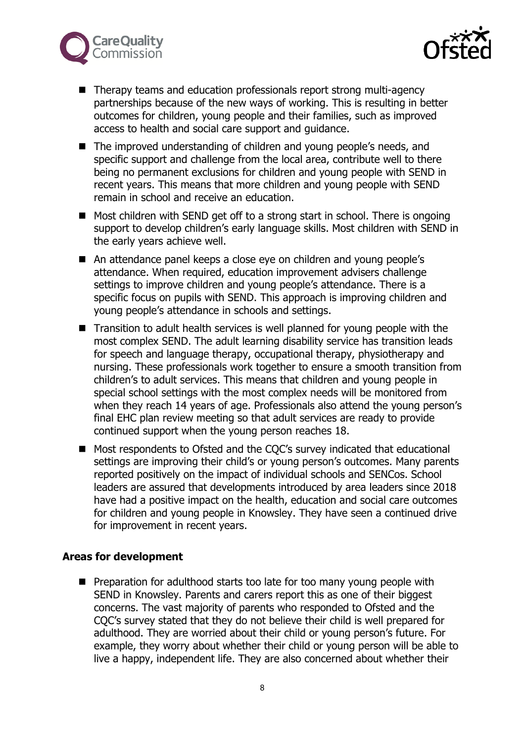



- Therapy teams and education professionals report strong multi-agency partnerships because of the new ways of working. This is resulting in better outcomes for children, young people and their families, such as improved access to health and social care support and guidance.
- The improved understanding of children and young people's needs, and specific support and challenge from the local area, contribute well to there being no permanent exclusions for children and young people with SEND in recent years. This means that more children and young people with SEND remain in school and receive an education.
- Most children with SEND get off to a strong start in school. There is ongoing support to develop children's early language skills. Most children with SEND in the early years achieve well.
- An attendance panel keeps a close eye on children and young people's attendance. When required, education improvement advisers challenge settings to improve children and young people's attendance. There is a specific focus on pupils with SEND. This approach is improving children and young people's attendance in schools and settings.
- Transition to adult health services is well planned for young people with the most complex SEND. The adult learning disability service has transition leads for speech and language therapy, occupational therapy, physiotherapy and nursing. These professionals work together to ensure a smooth transition from children's to adult services. This means that children and young people in special school settings with the most complex needs will be monitored from when they reach 14 years of age. Professionals also attend the young person's final EHC plan review meeting so that adult services are ready to provide continued support when the young person reaches 18.
- Most respondents to Ofsted and the COC's survey indicated that educational settings are improving their child's or young person's outcomes. Many parents reported positively on the impact of individual schools and SENCos. School leaders are assured that developments introduced by area leaders since 2018 have had a positive impact on the health, education and social care outcomes for children and young people in Knowsley. They have seen a continued drive for improvement in recent years.

#### **Areas for development**

■ Preparation for adulthood starts too late for too many young people with SEND in Knowsley. Parents and carers report this as one of their biggest concerns. The vast majority of parents who responded to Ofsted and the CQC's survey stated that they do not believe their child is well prepared for adulthood. They are worried about their child or young person's future. For example, they worry about whether their child or young person will be able to live a happy, independent life. They are also concerned about whether their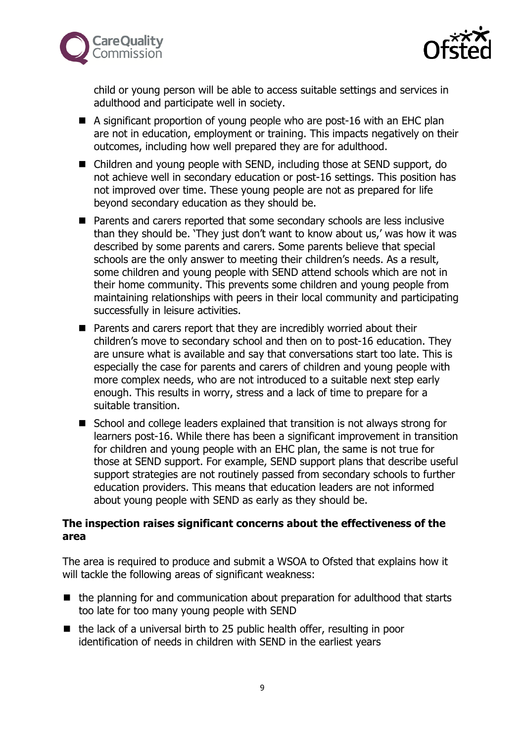



child or young person will be able to access suitable settings and services in adulthood and participate well in society.

- A significant proportion of young people who are post-16 with an EHC plan are not in education, employment or training. This impacts negatively on their outcomes, including how well prepared they are for adulthood.
- Children and young people with SEND, including those at SEND support, do not achieve well in secondary education or post-16 settings. This position has not improved over time. These young people are not as prepared for life beyond secondary education as they should be.
- Parents and carers reported that some secondary schools are less inclusive than they should be. 'They just don't want to know about us,' was how it was described by some parents and carers. Some parents believe that special schools are the only answer to meeting their children's needs. As a result, some children and young people with SEND attend schools which are not in their home community. This prevents some children and young people from maintaining relationships with peers in their local community and participating successfully in leisure activities.
- Parents and carers report that they are incredibly worried about their children's move to secondary school and then on to post-16 education. They are unsure what is available and say that conversations start too late. This is especially the case for parents and carers of children and young people with more complex needs, who are not introduced to a suitable next step early enough. This results in worry, stress and a lack of time to prepare for a suitable transition.
- School and college leaders explained that transition is not always strong for learners post-16. While there has been a significant improvement in transition for children and young people with an EHC plan, the same is not true for those at SEND support. For example, SEND support plans that describe useful support strategies are not routinely passed from secondary schools to further education providers. This means that education leaders are not informed about young people with SEND as early as they should be.

## **The inspection raises significant concerns about the effectiveness of the area**

The area is required to produce and submit a WSOA to Ofsted that explains how it will tackle the following areas of significant weakness:

- the planning for and communication about preparation for adulthood that starts too late for too many young people with SEND
- the lack of a universal birth to 25 public health offer, resulting in poor identification of needs in children with SEND in the earliest years